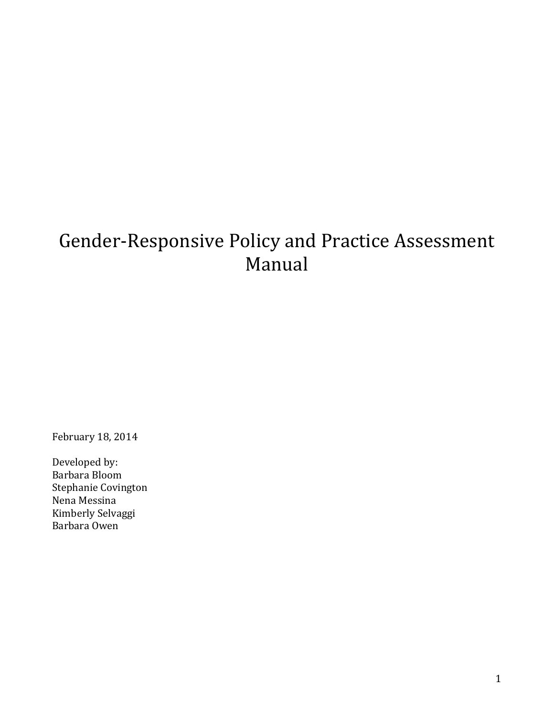# Gender-Responsive Policy and Practice Assessment Manual

February 18, 2014

Developed by: Barbara Bloom Stephanie Covington Nena Messina Kimberly Selvaggi Barbara Owen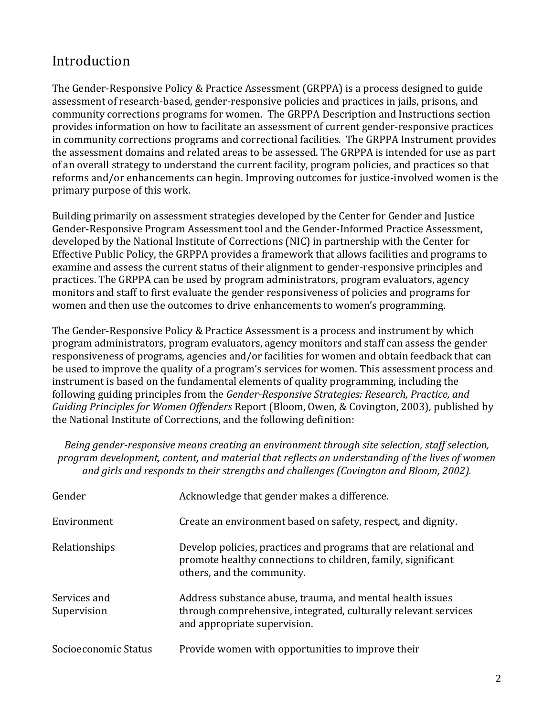# Introduction

The Gender-Responsive Policy & Practice Assessment (GRPPA) is a process designed to guide assessment of research-based, gender-responsive policies and practices in jails, prisons, and community corrections programs for women. The GRPPA Description and Instructions section provides information on how to facilitate an assessment of current gender-responsive practices in community corrections programs and correctional facilities. The GRPPA Instrument provides the assessment domains and related areas to be assessed. The GRPPA is intended for use as part of an overall strategy to understand the current facility, program policies, and practices so that reforms and/or enhancements can begin. Improving outcomes for justice-involved women is the primary purpose of this work.

Building primarily on assessment strategies developed by the Center for Gender and Justice Gender-Responsive Program Assessment tool and the Gender-Informed Practice Assessment, developed by the National Institute of Corrections (NIC) in partnership with the Center for Effective Public Policy, the GRPPA provides a framework that allows facilities and programs to examine and assess the current status of their alignment to gender-responsive principles and practices. The GRPPA can be used by program administrators, program evaluators, agency monitors and staff to first evaluate the gender responsiveness of policies and programs for women and then use the outcomes to drive enhancements to women's programming.

The Gender-Responsive Policy & Practice Assessment is a process and instrument by which program administrators, program evaluators, agency monitors and staff can assess the gender responsiveness of programs, agencies and/or facilities for women and obtain feedback that can be used to improve the quality of a program's services for women. This assessment process and instrument is based on the fundamental elements of quality programming, including the following guiding principles from the *Gender-Responsive Strategies: Research, Practice, and Guiding Principles for Women Offenders* Report (Bloom, Owen, & Covington, 2003)*,* published by the National Institute of Corrections, and the following definition:

*Being gender-responsive means creating an environment through site selection, staff selection, program development, content, and material that reflects an understanding of the lives of women and girls and responds to their strengths and challenges (Covington and Bloom, 2002).*

| Gender                      | Acknowledge that gender makes a difference.                                                                                                                    |
|-----------------------------|----------------------------------------------------------------------------------------------------------------------------------------------------------------|
| Environment                 | Create an environment based on safety, respect, and dignity.                                                                                                   |
| Relationships               | Develop policies, practices and programs that are relational and<br>promote healthy connections to children, family, significant<br>others, and the community. |
| Services and<br>Supervision | Address substance abuse, trauma, and mental health issues<br>through comprehensive, integrated, culturally relevant services<br>and appropriate supervision.   |
| Socioeconomic Status        | Provide women with opportunities to improve their                                                                                                              |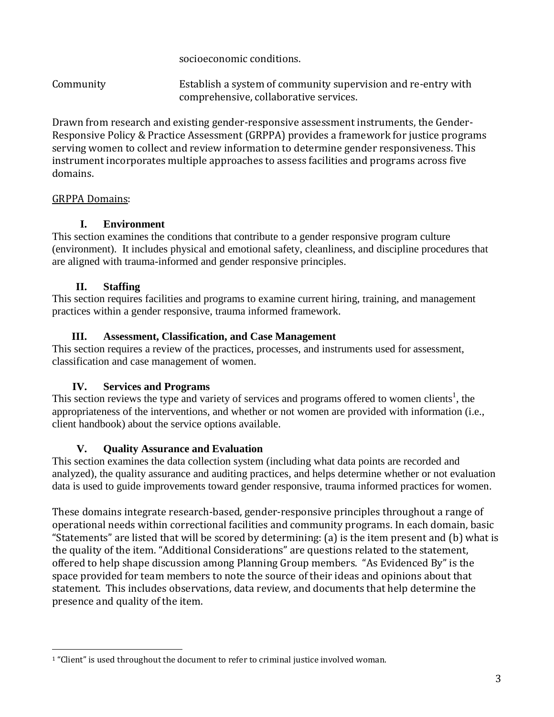socioeconomic conditions.

Community Establish a system of community supervision and re-entry with comprehensive, collaborative services.

Drawn from research and existing gender-responsive assessment instruments, the Gender-Responsive Policy & Practice Assessment (GRPPA) provides a framework for justice programs serving women to collect and review information to determine gender responsiveness. This instrument incorporates multiple approaches to assess facilities and programs across five domains.

# GRPPA Domains:

# **I. Environment**

This section examines the conditions that contribute to a gender responsive program culture (environment). It includes physical and emotional safety, cleanliness, and discipline procedures that are aligned with trauma-informed and gender responsive principles.

# **II. Staffing**

This section requires facilities and programs to examine current hiring, training, and management practices within a gender responsive, trauma informed framework.

#### **III. Assessment, Classification, and Case Management**

This section requires a review of the practices, processes, and instruments used for assessment, classification and case management of women.

#### **IV. Services and Programs**

This section reviews the type and variety of services and programs offered to women clients<sup>1</sup>, the appropriateness of the interventions, and whether or not women are provided with information (i.e., client handbook) about the service options available.

# **V. Quality Assurance and Evaluation**

This section examines the data collection system (including what data points are recorded and analyzed), the quality assurance and auditing practices, and helps determine whether or not evaluation data is used to guide improvements toward gender responsive, trauma informed practices for women.

These domains integrate research-based, gender-responsive principles throughout a range of operational needs within correctional facilities and community programs. In each domain, basic "Statements" are listed that will be scored by determining: (a) is the item present and (b) what is the quality of the item. "Additional Considerations" are questions related to the statement, offered to help shape discussion among Planning Group members. "As Evidenced By" is the space provided for team members to note the source of their ideas and opinions about that statement. This includes observations, data review, and documents that help determine the presence and quality of the item.

 $\overline{\phantom{a}}$ <sup>1</sup> "Client" is used throughout the document to refer to criminal justice involved woman.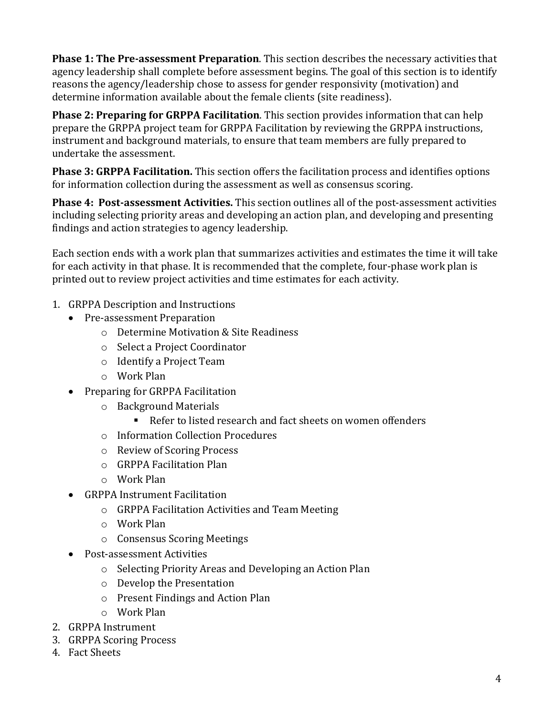**Phase 1: The Pre-assessment Preparation**. This section describes the necessary activities that agency leadership shall complete before assessment begins. The goal of this section is to identify reasons the agency/leadership chose to assess for gender responsivity (motivation) and determine information available about the female clients (site readiness).

**Phase 2: Preparing for GRPPA Facilitation**. This section provides information that can help prepare the GRPPA project team for GRPPA Facilitation by reviewing the GRPPA instructions, instrument and background materials, to ensure that team members are fully prepared to undertake the assessment.

**Phase 3: GRPPA Facilitation.** This section offers the facilitation process and identifies options for information collection during the assessment as well as consensus scoring.

**Phase 4: Post-assessment Activities.** This section outlines all of the post-assessment activities including selecting priority areas and developing an action plan, and developing and presenting findings and action strategies to agency leadership.

Each section ends with a work plan that summarizes activities and estimates the time it will take for each activity in that phase. It is recommended that the complete, four-phase work plan is printed out to review project activities and time estimates for each activity.

- 1. GRPPA Description and Instructions
	- Pre-assessment Preparation
		- o Determine Motivation & Site Readiness
		- o Select a Project Coordinator
		- o Identify a Project Team
		- o Work Plan
	- Preparing for GRPPA Facilitation
		- o Background Materials
			- Refer to listed research and fact sheets on women offenders
		- o Information Collection Procedures
		- o Review of Scoring Process
		- o GRPPA Facilitation Plan
		- o Work Plan
	- GRPPA Instrument Facilitation
		- o GRPPA Facilitation Activities and Team Meeting
		- o Work Plan
		- o Consensus Scoring Meetings
	- Post-assessment Activities
		- o Selecting Priority Areas and Developing an Action Plan
		- o Develop the Presentation
		- o Present Findings and Action Plan
		- o Work Plan
- 2. GRPPA Instrument
- 3. GRPPA Scoring Process
- 4. Fact Sheets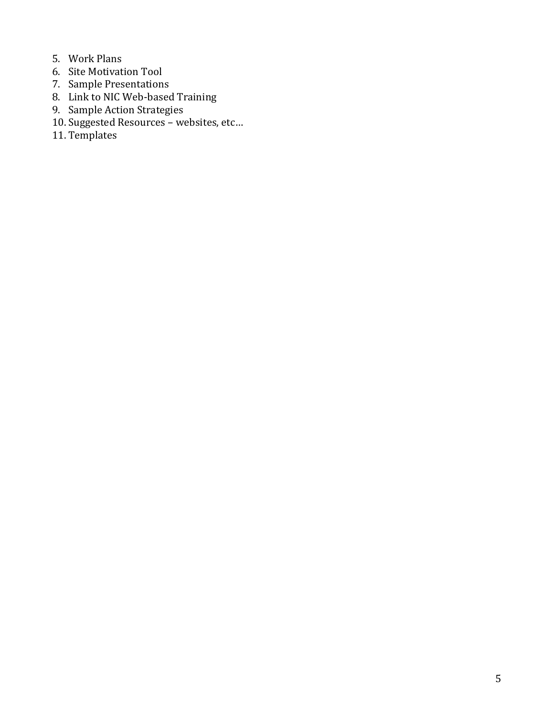- 5. Work Plans
- 6. Site Motivation Tool
- 7. Sample Presentations
- 8. Link to NIC Web-based Training
- 9. Sample Action Strategies
- 10. Suggested Resources websites, etc…
- 11. Templates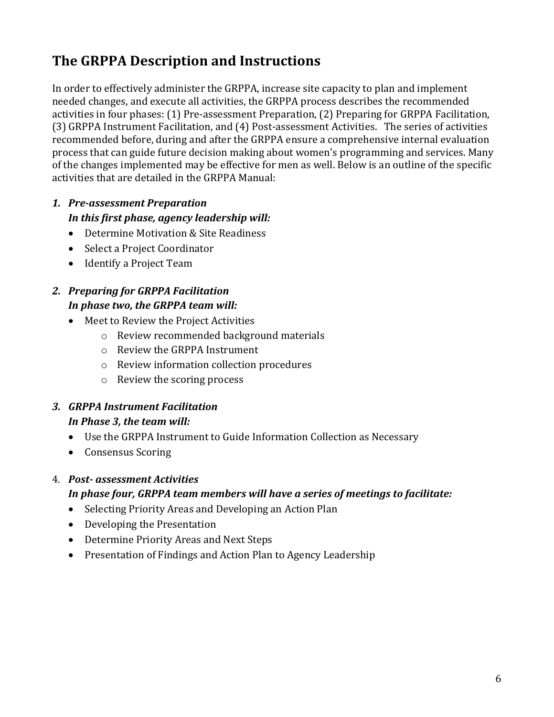# **The GRPPA Description and Instructions**

In order to effectively administer the GRPPA, increase site capacity to plan and implement needed changes, and execute all activities, the GRPPA process describes the recommended activities in four phases: (1) Pre-assessment Preparation, (2) Preparing for GRPPA Facilitation, (3) GRPPA Instrument Facilitation, and (4) Post-assessment Activities. The series of activities recommended before, during and after the GRPPA ensure a comprehensive internal evaluation process that can guide future decision making about women's programming and services. Many of the changes implemented may be effective for men as well. Below is an outline of the specific activities that are detailed in the GRPPA Manual:

# *1. Pre-assessment Preparation In this first phase, agency leadership will:*

- Determine Motivation & Site Readiness
- Select a Project Coordinator
- Identify a Project Team

# *2. Preparing for GRPPA Facilitation In phase two, the GRPPA team will:*

- Meet to Review the Project Activities
	- o Review recommended background materials
	- o Review the GRPPA Instrument
	- o Review information collection procedures
	- o Review the scoring process

# *3. GRPPA Instrument Facilitation In Phase 3, the team will:*

- Use the GRPPA Instrument to Guide Information Collection as Necessary
- Consensus Scoring

# 4. *Post- assessment Activities*

#### *In phase four, GRPPA team members will have a series of meetings to facilitate:*

- Selecting Priority Areas and Developing an Action Plan
- Developing the Presentation
- Determine Priority Areas and Next Steps
- Presentation of Findings and Action Plan to Agency Leadership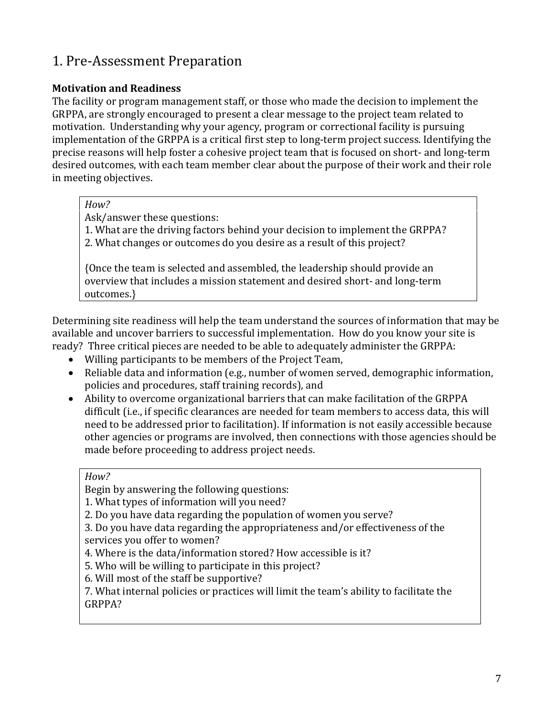# 1. Pre-Assessment Preparation

# **Motivation and Readiness**

The facility or program management staff, or those who made the decision to implement the GRPPA, are strongly encouraged to present a clear message to the project team related to motivation. Understanding why your agency, program or correctional facility is pursuing implementation of the GRPPA is a critical first step to long-term project success. Identifying the precise reasons will help foster a cohesive project team that is focused on short- and long-term desired outcomes, with each team member clear about the purpose of their work and their role in meeting objectives.

#### *How?*

Ask/answer these questions:

1. What are the driving factors behind your decision to implement the GRPPA?

2. What changes or outcomes do you desire as a result of this project?

{Once the team is selected and assembled, the leadership should provide an overview that includes a mission statement and desired short- and long-term outcomes.}

Determining site readiness will help the team understand the sources of information that may be available and uncover barriers to successful implementation. How do you know your site is ready? Three critical pieces are needed to be able to adequately administer the GRPPA:

- Willing participants to be members of the Project Team,
- Reliable data and information (e.g., number of women served, demographic information, policies and procedures, staff training records), and
- Ability to overcome organizational barriers that can make facilitation of the GRPPA difficult (i.e., if specific clearances are needed for team members to access data, this will need to be addressed prior to facilitation). If information is not easily accessible because other agencies or programs are involved, then connections with those agencies should be made before proceeding to address project needs.

#### *How?*

Begin by answering the following questions:

1. What types of information will you need?

2. Do you have data regarding the population of women you serve?

3. Do you have data regarding the appropriateness and/or effectiveness of the services you offer to women?

4. Where is the data/information stored? How accessible is it?

5. Who will be willing to participate in this project?

6. Will most of the staff be supportive?

7. What internal policies or practices will limit the team's ability to facilitate the GRPPA?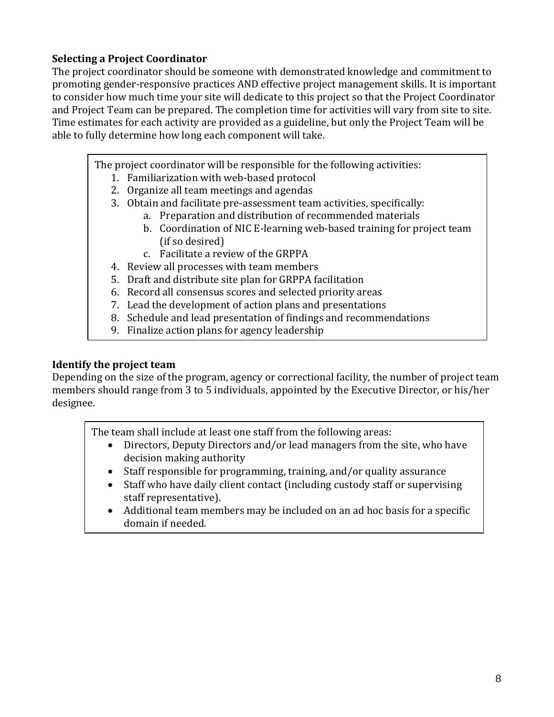# **Selecting a Project Coordinator**

The project coordinator should be someone with demonstrated knowledge and commitment to promoting gender-responsive practices AND effective project management skills. It is important to consider how much time your site will dedicate to this project so that the Project Coordinator and Project Team can be prepared. The completion time for activities will vary from site to site. Time estimates for each activity are provided as a guideline, but only the Project Team will be able to fully determine how long each component will take.

The project coordinator will be responsible for the following activities:

- 1. Familiarization with web-based protocol
- 2. Organize all team meetings and agendas
- 3. Obtain and facilitate pre-assessment team activities, specifically:
	- a. Preparation and distribution of recommended materials
	- b. Coordination of NIC E-learning web-based training for project team (if so desired)
	- c. Facilitate a review of the GRPPA
- 4. Review all processes with team members
- 5. Draft and distribute site plan for GRPPA facilitation
- 6. Record all consensus scores and selected priority areas
- 7. Lead the development of action plans and presentations
- 8. Schedule and lead presentation of findings and recommendations
- 9. Finalize action plans for agency leadership

# **Identify the project team**

Depending on the size of the program, agency or correctional facility, the number of project team members should range from 3 to 5 individuals, appointed by the Executive Director, or his/her designee.

The team shall include at least one staff from the following areas:

- Directors, Deputy Directors and/or lead managers from the site, who have decision making authority
- Staff responsible for programming, training, and/or quality assurance
- Staff who have daily client contact (including custody staff or supervising staff representative).
- Additional team members may be included on an ad hoc basis for a specific domain if needed.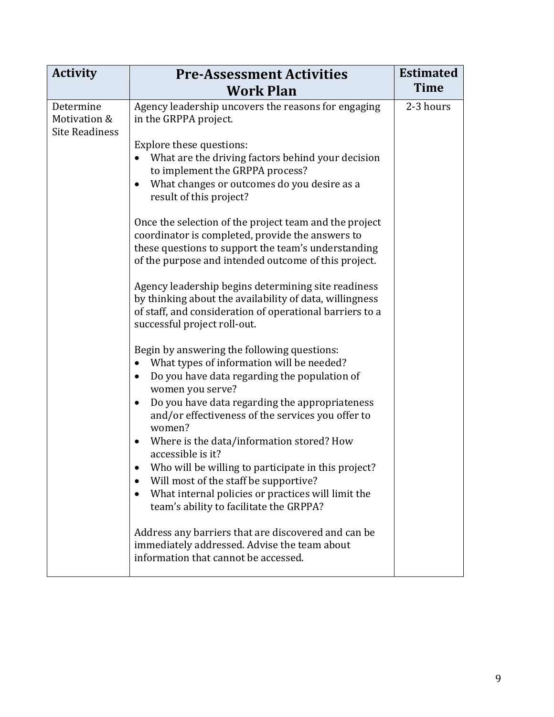| <b>Activity</b>                                    | <b>Pre-Assessment Activities</b>                                                                                                                                                                                                                                                              | <b>Estimated</b> |
|----------------------------------------------------|-----------------------------------------------------------------------------------------------------------------------------------------------------------------------------------------------------------------------------------------------------------------------------------------------|------------------|
|                                                    | <b>Work Plan</b>                                                                                                                                                                                                                                                                              | <b>Time</b>      |
| Determine<br>Motivation &<br><b>Site Readiness</b> | Agency leadership uncovers the reasons for engaging<br>in the GRPPA project.                                                                                                                                                                                                                  | 2-3 hours        |
|                                                    | Explore these questions:<br>What are the driving factors behind your decision<br>to implement the GRPPA process?<br>What changes or outcomes do you desire as a<br>result of this project?                                                                                                    |                  |
|                                                    | Once the selection of the project team and the project<br>coordinator is completed, provide the answers to<br>these questions to support the team's understanding<br>of the purpose and intended outcome of this project.                                                                     |                  |
|                                                    | Agency leadership begins determining site readiness<br>by thinking about the availability of data, willingness<br>of staff, and consideration of operational barriers to a<br>successful project roll-out.                                                                                    |                  |
|                                                    | Begin by answering the following questions:<br>What types of information will be needed?<br>Do you have data regarding the population of<br>$\bullet$<br>women you serve?<br>Do you have data regarding the appropriateness<br>$\bullet$<br>and/or effectiveness of the services you offer to |                  |
|                                                    | women?<br>Where is the data/information stored? How<br>accessible is it?                                                                                                                                                                                                                      |                  |
|                                                    | Who will be willing to participate in this project?<br>Will most of the staff be supportive?<br>What internal policies or practices will limit the<br>team's ability to facilitate the GRPPA?                                                                                                 |                  |
|                                                    | Address any barriers that are discovered and can be<br>immediately addressed. Advise the team about<br>information that cannot be accessed.                                                                                                                                                   |                  |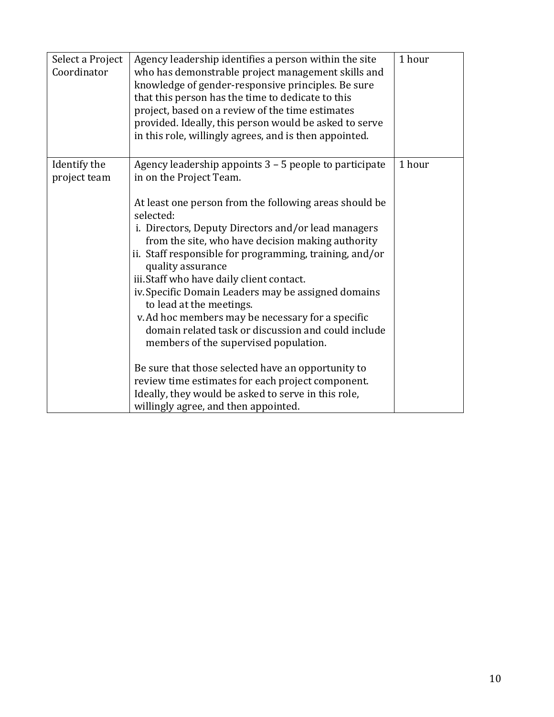| Select a Project<br>Coordinator | Agency leadership identifies a person within the site<br>who has demonstrable project management skills and<br>knowledge of gender-responsive principles. Be sure<br>that this person has the time to dedicate to this<br>project, based on a review of the time estimates<br>provided. Ideally, this person would be asked to serve<br>in this role, willingly agrees, and is then appointed.                                                                                                                                                       | 1 hour |
|---------------------------------|------------------------------------------------------------------------------------------------------------------------------------------------------------------------------------------------------------------------------------------------------------------------------------------------------------------------------------------------------------------------------------------------------------------------------------------------------------------------------------------------------------------------------------------------------|--------|
| Identify the<br>project team    | Agency leadership appoints 3 - 5 people to participate<br>in on the Project Team.                                                                                                                                                                                                                                                                                                                                                                                                                                                                    | 1 hour |
|                                 | At least one person from the following areas should be<br>selected:<br>i. Directors, Deputy Directors and/or lead managers<br>from the site, who have decision making authority<br>ii. Staff responsible for programming, training, and/or<br>quality assurance<br>iii. Staff who have daily client contact.<br>iv. Specific Domain Leaders may be assigned domains<br>to lead at the meetings.<br>v. Ad hoc members may be necessary for a specific<br>domain related task or discussion and could include<br>members of the supervised population. |        |
|                                 | Be sure that those selected have an opportunity to<br>review time estimates for each project component.<br>Ideally, they would be asked to serve in this role,<br>willingly agree, and then appointed.                                                                                                                                                                                                                                                                                                                                               |        |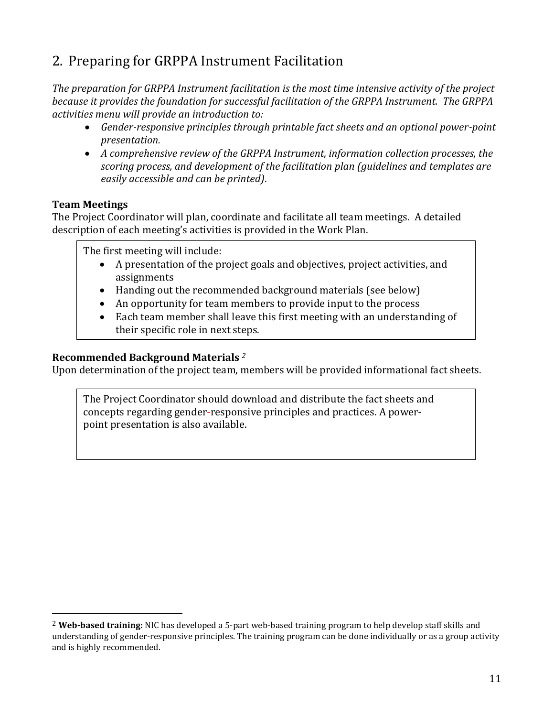# 2. Preparing for GRPPA Instrument Facilitation

*The preparation for GRPPA Instrument facilitation is the most time intensive activity of the project because it provides the foundation for successful facilitation of the GRPPA Instrument. The GRPPA activities menu will provide an introduction to:* 

- *Gender-responsive principles through printable fact sheets and an optional power-point presentation.*
- *A comprehensive review of the GRPPA Instrument, information collection processes, the scoring process, and development of the facilitation plan (guidelines and templates are easily accessible and can be printed)*.

# **Team Meetings**

 $\overline{\phantom{a}}$ 

The Project Coordinator will plan, coordinate and facilitate all team meetings. A detailed description of each meeting's activities is provided in the Work Plan.

The first meeting will include:

- A presentation of the project goals and objectives, project activities, and assignments
- Handing out the recommended background materials (see below)
- An opportunity for team members to provide input to the process
- Each team member shall leave this first meeting with an understanding of their specific role in next steps.

### **Recommended Background Materials** *<sup>2</sup>*

Upon determination of the project team, members will be provided informational fact sheets.

The Project Coordinator should download and distribute the fact sheets and concepts regarding gender-responsive principles and practices. A powerpoint presentation is also available.

<sup>2</sup> **Web-based training:** NIC has developed a 5-part web-based training program to help develop staff skills and understanding of gender-responsive principles. The training program can be done individually or as a group activity and is highly recommended.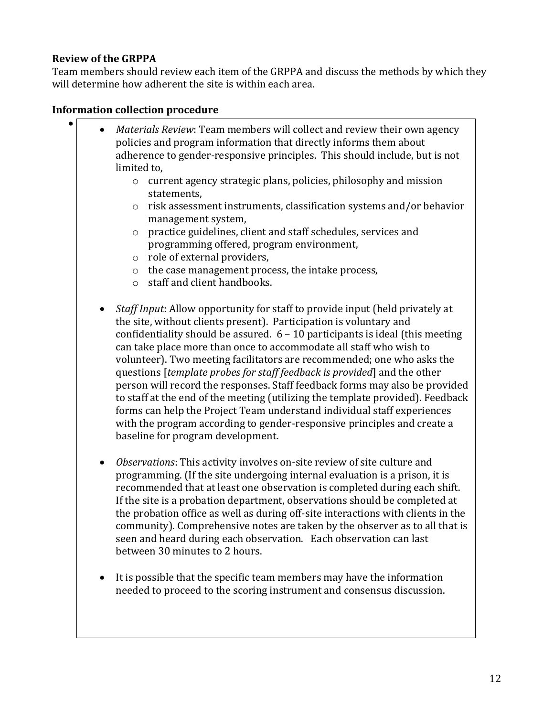# **Review of the GRPPA**

 $\bullet$ 

Team members should review each item of the GRPPA and discuss the methods by which they will determine how adherent the site is within each area.

# **Information collection procedure**

- *Materials Review*: Team members will collect and review their own agency policies and program information that directly informs them about adherence to gender-responsive principles. This should include, but is not limited to,
	- o current agency strategic plans, policies, philosophy and mission statements,
	- o risk assessment instruments, classification systems and/or behavior management system,
	- o practice guidelines, client and staff schedules, services and programming offered, program environment,
	- o role of external providers,
	- o the case management process, the intake process,
	- o staff and client handbooks.
	- *Staff Input*: Allow opportunity for staff to provide input (held privately at the site, without clients present). Participation is voluntary and confidentiality should be assured. 6 – 10 participants is ideal (this meeting can take place more than once to accommodate all staff who wish to volunteer). Two meeting facilitators are recommended; one who asks the questions [*template probes for staff feedback is provided*] and the other person will record the responses. Staff feedback forms may also be provided to staff at the end of the meeting (utilizing the template provided). Feedback forms can help the Project Team understand individual staff experiences with the program according to gender-responsive principles and create a baseline for program development.
	- *Observations*: This activity involves on-site review of site culture and programming. (If the site undergoing internal evaluation is a prison, it is recommended that at least one observation is completed during each shift. If the site is a probation department, observations should be completed at the probation office as well as during off-site interactions with clients in the community). Comprehensive notes are taken by the observer as to all that is seen and heard during each observation. Each observation can last between 30 minutes to 2 hours.
	- It is possible that the specific team members may have the information needed to proceed to the scoring instrument and consensus discussion.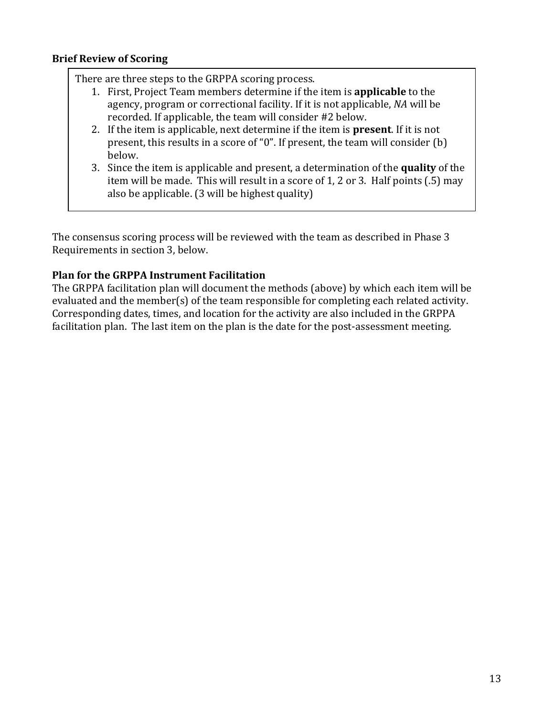#### **Brief Review of Scoring**

There are three steps to the GRPPA scoring process.

- 1. First, Project Team members determine if the item is **applicable** to the agency, program or correctional facility. If it is not applicable, *NA* will be recorded. If applicable, the team will consider #2 below.
- 2. If the item is applicable, next determine if the item is **present**. If it is not present, this results in a score of "0". If present, the team will consider (b) below.
- 3. Since the item is applicable and present, a determination of the **quality** of the item will be made. This will result in a score of 1, 2 or 3. Half points (.5) may also be applicable. (3 will be highest quality)

The consensus scoring process will be reviewed with the team as described in Phase 3 Requirements in section 3, below.

# **Plan for the GRPPA Instrument Facilitation**

The GRPPA facilitation plan will document the methods (above) by which each item will be evaluated and the member(s) of the team responsible for completing each related activity. Corresponding dates, times, and location for the activity are also included in the GRPPA facilitation plan. The last item on the plan is the date for the post-assessment meeting.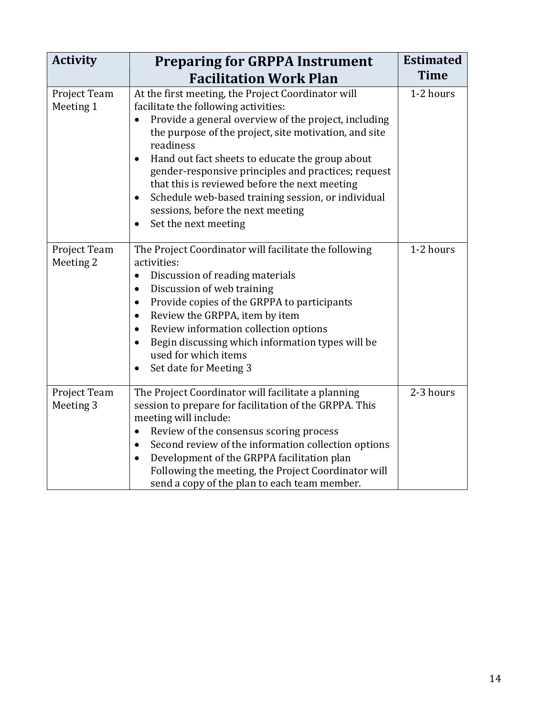| <b>Activity</b>           | <b>Preparing for GRPPA Instrument</b>                                                                                                                                                                                                                                                                                                                                                                                                                                                                                                 | <b>Estimated</b> |
|---------------------------|---------------------------------------------------------------------------------------------------------------------------------------------------------------------------------------------------------------------------------------------------------------------------------------------------------------------------------------------------------------------------------------------------------------------------------------------------------------------------------------------------------------------------------------|------------------|
|                           | <b>Facilitation Work Plan</b>                                                                                                                                                                                                                                                                                                                                                                                                                                                                                                         | <b>Time</b>      |
| Project Team<br>Meeting 1 | At the first meeting, the Project Coordinator will<br>facilitate the following activities:<br>Provide a general overview of the project, including<br>$\bullet$<br>the purpose of the project, site motivation, and site<br>readiness<br>Hand out fact sheets to educate the group about<br>$\bullet$<br>gender-responsive principles and practices; request<br>that this is reviewed before the next meeting<br>Schedule web-based training session, or individual<br>٠<br>sessions, before the next meeting<br>Set the next meeting | 1-2 hours        |
| Project Team<br>Meeting 2 | The Project Coordinator will facilitate the following<br>activities:<br>Discussion of reading materials<br>$\bullet$<br>Discussion of web training<br>$\bullet$<br>Provide copies of the GRPPA to participants<br>$\bullet$<br>Review the GRPPA, item by item<br>$\bullet$<br>Review information collection options<br>$\bullet$<br>Begin discussing which information types will be<br>$\bullet$<br>used for which items<br>Set date for Meeting 3                                                                                   | 1-2 hours        |
| Project Team<br>Meeting 3 | The Project Coordinator will facilitate a planning<br>session to prepare for facilitation of the GRPPA. This<br>meeting will include:<br>Review of the consensus scoring process<br>$\bullet$<br>Second review of the information collection options<br>$\bullet$<br>Development of the GRPPA facilitation plan<br>$\bullet$<br>Following the meeting, the Project Coordinator will<br>send a copy of the plan to each team member.                                                                                                   | 2-3 hours        |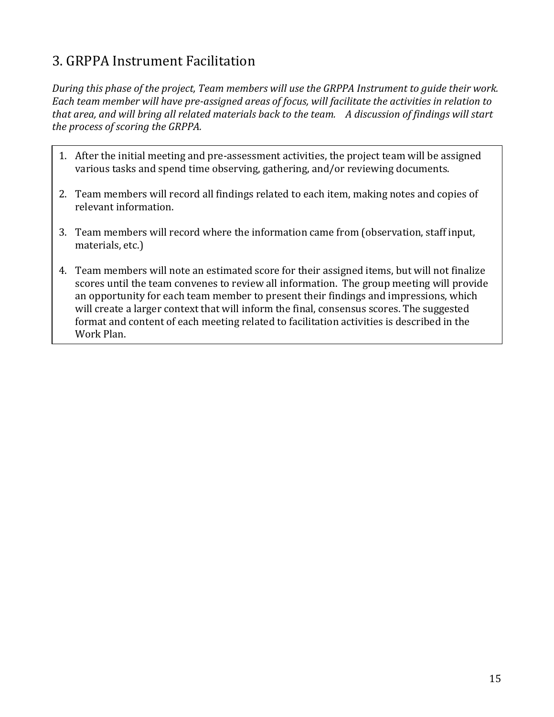# 3. GRPPA Instrument Facilitation

*During this phase of the project, Team members will use the GRPPA Instrument to guide their work. Each team member will have pre-assigned areas of focus, will facilitate the activities in relation to that area, and will bring all related materials back to the team. A discussion of findings will start the process of scoring the GRPPA.* 

- 1. After the initial meeting and pre-assessment activities, the project team will be assigned various tasks and spend time observing, gathering, and/or reviewing documents.
- 2. Team members will record all findings related to each item, making notes and copies of relevant information.
- 3. Team members will record where the information came from (observation, staff input, materials, etc.)
- 4. Team members will note an estimated score for their assigned items, but will not finalize scores until the team convenes to review all information. The group meeting will provide an opportunity for each team member to present their findings and impressions, which will create a larger context that will inform the final, consensus scores. The suggested format and content of each meeting related to facilitation activities is described in the Work Plan.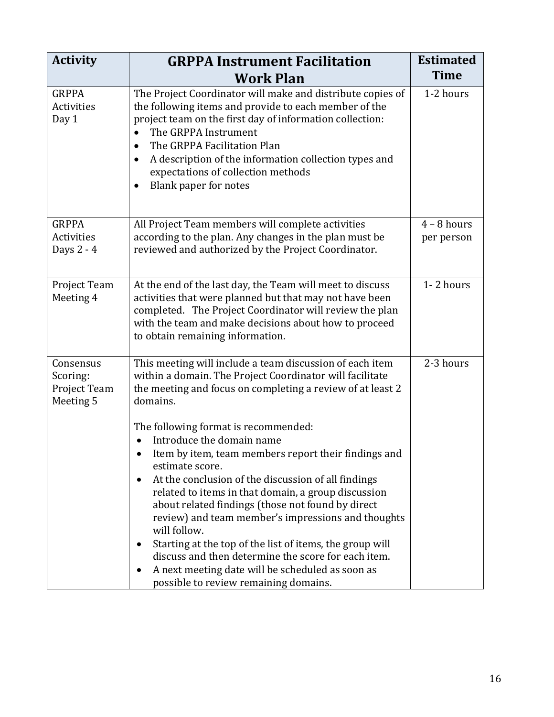| <b>GRPPA Instrument Facilitation</b>                                                                                                                                                                                                                                                                                                                                                                                                                                                         | <b>Estimated</b>                                                   |
|----------------------------------------------------------------------------------------------------------------------------------------------------------------------------------------------------------------------------------------------------------------------------------------------------------------------------------------------------------------------------------------------------------------------------------------------------------------------------------------------|--------------------------------------------------------------------|
| <b>Work Plan</b>                                                                                                                                                                                                                                                                                                                                                                                                                                                                             | <b>Time</b>                                                        |
| The Project Coordinator will make and distribute copies of<br>the following items and provide to each member of the<br>project team on the first day of information collection:<br>The GRPPA Instrument<br>The GRPPA Facilitation Plan<br>$\bullet$<br>A description of the information collection types and<br>$\bullet$<br>expectations of collection methods<br>Blank paper for notes<br>٠                                                                                                | 1-2 hours                                                          |
| All Project Team members will complete activities<br>according to the plan. Any changes in the plan must be<br>reviewed and authorized by the Project Coordinator.                                                                                                                                                                                                                                                                                                                           | $4 - 8$ hours<br>per person                                        |
| At the end of the last day, the Team will meet to discuss<br>activities that were planned but that may not have been<br>completed. The Project Coordinator will review the plan<br>with the team and make decisions about how to proceed<br>to obtain remaining information.                                                                                                                                                                                                                 | 1-2 hours                                                          |
| This meeting will include a team discussion of each item<br>within a domain. The Project Coordinator will facilitate<br>the meeting and focus on completing a review of at least 2<br>domains.                                                                                                                                                                                                                                                                                               | 2-3 hours                                                          |
| The following format is recommended:                                                                                                                                                                                                                                                                                                                                                                                                                                                         |                                                                    |
| Item by item, team members report their findings and<br>estimate score.<br>At the conclusion of the discussion of all findings<br>related to items in that domain, a group discussion<br>about related findings (those not found by direct<br>review) and team member's impressions and thoughts<br>will follow.<br>Starting at the top of the list of items, the group will<br>٠<br>discuss and then determine the score for each item.<br>A next meeting date will be scheduled as soon as |                                                                    |
|                                                                                                                                                                                                                                                                                                                                                                                                                                                                                              | Introduce the domain name<br>possible to review remaining domains. |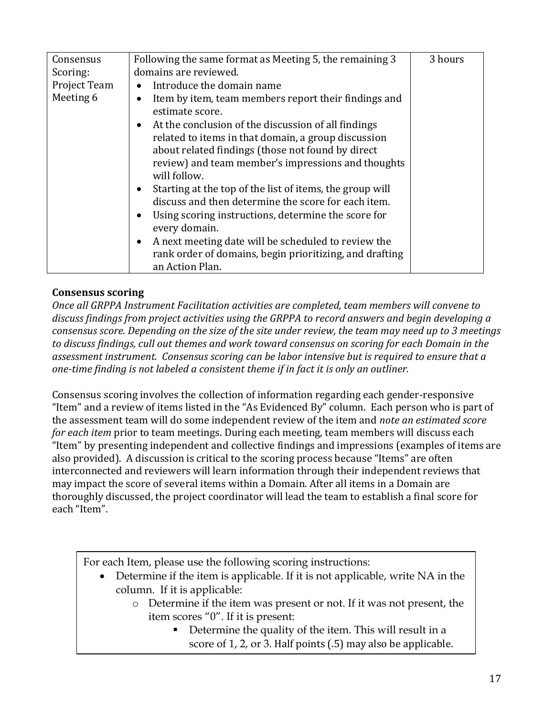| Consensus    | Following the same format as Meeting 5, the remaining 3               | 3 hours |
|--------------|-----------------------------------------------------------------------|---------|
| Scoring:     | domains are reviewed.                                                 |         |
| Project Team | Introduce the domain name<br>$\bullet$                                |         |
| Meeting 6    | Item by item, team members report their findings and<br>$\bullet$     |         |
|              | estimate score.                                                       |         |
|              | At the conclusion of the discussion of all findings<br>$\bullet$      |         |
|              | related to items in that domain, a group discussion                   |         |
|              | about related findings (those not found by direct                     |         |
|              | review) and team member's impressions and thoughts                    |         |
|              | will follow.                                                          |         |
|              | Starting at the top of the list of items, the group will<br>$\bullet$ |         |
|              | discuss and then determine the score for each item.                   |         |
|              | Using scoring instructions, determine the score for<br>$\bullet$      |         |
|              | every domain.                                                         |         |
|              | A next meeting date will be scheduled to review the<br>$\bullet$      |         |
|              | rank order of domains, begin prioritizing, and drafting               |         |
|              | an Action Plan.                                                       |         |

#### **Consensus scoring**

*Once all GRPPA Instrument Facilitation activities are completed, team members will convene to discuss findings from project activities using the GRPPA to record answers and begin developing a consensus score. Depending on the size of the site under review, the team may need up to 3 meetings to discuss findings, cull out themes and work toward consensus on scoring for each Domain in the assessment instrument. Consensus scoring can be labor intensive but is required to ensure that a one-time finding is not labeled a consistent theme if in fact it is only an outliner.* 

Consensus scoring involves the collection of information regarding each gender-responsive "Item" and a review of items listed in the "As Evidenced By" column. Each person who is part of the assessment team will do some independent review of the item and *note an estimated score for each item* prior to team meetings. During each meeting, team members will discuss each "Item" by presenting independent and collective findings and impressions (examples of items are also provided). A discussion is critical to the scoring process because "Items" are often interconnected and reviewers will learn information through their independent reviews that may impact the score of several items within a Domain. After all items in a Domain are thoroughly discussed, the project coordinator will lead the team to establish a final score for each "Item".

For each Item, please use the following scoring instructions:

- Determine if the item is applicable. If it is not applicable, write NA in the column. If it is applicable:
	- o Determine if the item was present or not. If it was not present, the item scores "0". If it is present:
		- Determine the quality of the item. This will result in a score of 1, 2, or 3. Half points (.5) may also be applicable.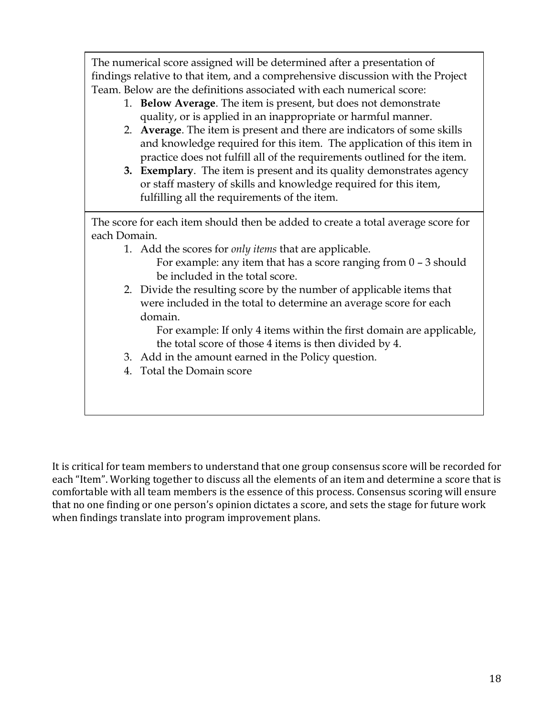The numerical score assigned will be determined after a presentation of findings relative to that item, and a comprehensive discussion with the Project Team. Below are the definitions associated with each numerical score:

- 1. **Below Average**. The item is present, but does not demonstrate quality, or is applied in an inappropriate or harmful manner.
- 2. **Average**. The item is present and there are indicators of some skills and knowledge required for this item. The application of this item in practice does not fulfill all of the requirements outlined for the item.
- **3. Exemplary**. The item is present and its quality demonstrates agency or staff mastery of skills and knowledge required for this item, fulfilling all the requirements of the item.

The score for each item should then be added to create a total average score for each Domain.

- 1. Add the scores for *only items* that are applicable.
	- For example: any item that has a score ranging from  $0 3$  should be included in the total score.
- 2. Divide the resulting score by the number of applicable items that were included in the total to determine an average score for each domain.

For example: If only 4 items within the first domain are applicable, the total score of those 4 items is then divided by 4.

- 3. Add in the amount earned in the Policy question.
- 4. Total the Domain score

It is critical for team members to understand that one group consensus score will be recorded for each "Item". Working together to discuss all the elements of an item and determine a score that is comfortable with all team members is the essence of this process. Consensus scoring will ensure that no one finding or one person's opinion dictates a score, and sets the stage for future work when findings translate into program improvement plans.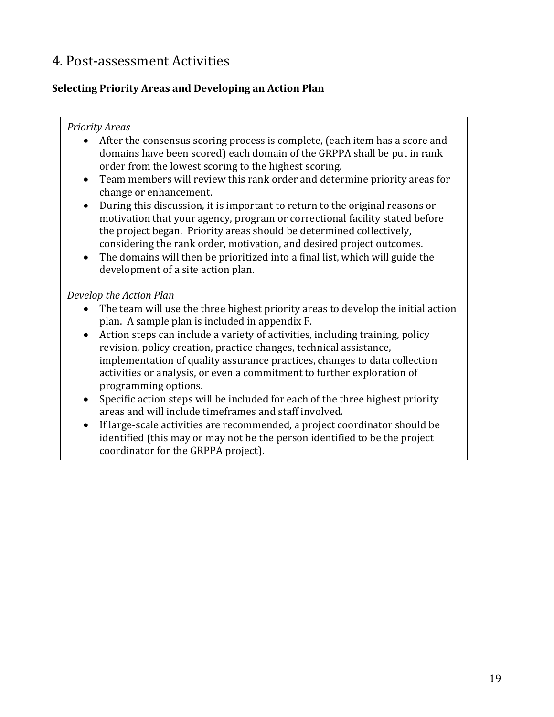# 4. Post-assessment Activities

# **Selecting Priority Areas and Developing an Action Plan**

### *Priority Areas*

- After the consensus scoring process is complete, (each item has a score and domains have been scored) each domain of the GRPPA shall be put in rank order from the lowest scoring to the highest scoring.
- Team members will review this rank order and determine priority areas for change or enhancement.
- During this discussion, it is important to return to the original reasons or motivation that your agency, program or correctional facility stated before the project began. Priority areas should be determined collectively, considering the rank order, motivation, and desired project outcomes.
- The domains will then be prioritized into a final list, which will guide the development of a site action plan.

# *Develop the Action Plan*

- The team will use the three highest priority areas to develop the initial action plan. A sample plan is included in appendix F.
- Action steps can include a variety of activities, including training, policy revision, policy creation, practice changes, technical assistance, implementation of quality assurance practices, changes to data collection activities or analysis, or even a commitment to further exploration of programming options.
- Specific action steps will be included for each of the three highest priority areas and will include timeframes and staff involved.
- If large-scale activities are recommended, a project coordinator should be identified (this may or may not be the person identified to be the project coordinator for the GRPPA project).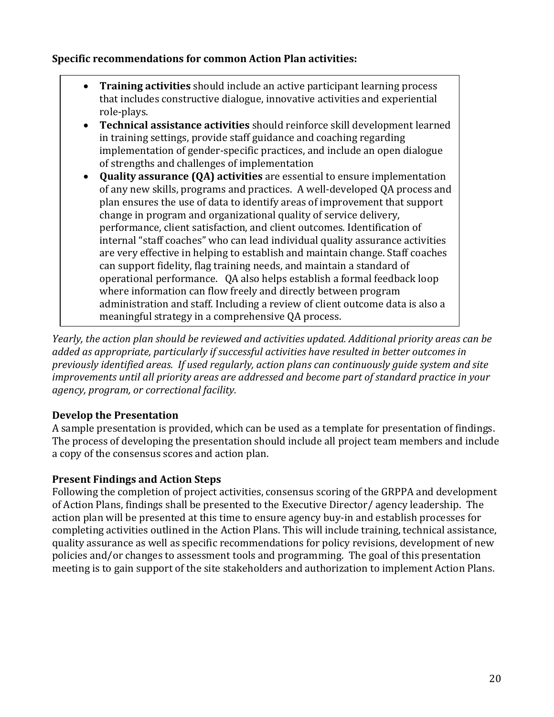### **Specific recommendations for common Action Plan activities:**

- **Training activities** should include an active participant learning process that includes constructive dialogue, innovative activities and experiential role-plays.
- **Technical assistance activities** should reinforce skill development learned in training settings, provide staff guidance and coaching regarding implementation of gender-specific practices, and include an open dialogue of strengths and challenges of implementation
- **Quality assurance (QA) activities** are essential to ensure implementation of any new skills, programs and practices. A well-developed QA process and plan ensures the use of data to identify areas of improvement that support change in program and organizational quality of service delivery, performance, client satisfaction, and client outcomes. Identification of internal "staff coaches" who can lead individual quality assurance activities are very effective in helping to establish and maintain change. Staff coaches can support fidelity, flag training needs, and maintain a standard of operational performance. QA also helps establish a formal feedback loop where information can flow freely and directly between program administration and staff. Including a review of client outcome data is also a meaningful strategy in a comprehensive QA process.

*Yearly, the action plan should be reviewed and activities updated. Additional priority areas can be added as appropriate, particularly if successful activities have resulted in better outcomes in previously identified areas. If used regularly, action plans can continuously guide system and site improvements until all priority areas are addressed and become part of standard practice in your agency, program, or correctional facility.* 

# **Develop the Presentation**

A sample presentation is provided, which can be used as a template for presentation of findings. The process of developing the presentation should include all project team members and include a copy of the consensus scores and action plan.

# **Present Findings and Action Steps**

Following the completion of project activities, consensus scoring of the GRPPA and development of Action Plans, findings shall be presented to the Executive Director/ agency leadership. The action plan will be presented at this time to ensure agency buy-in and establish processes for completing activities outlined in the Action Plans. This will include training, technical assistance, quality assurance as well as specific recommendations for policy revisions, development of new policies and/or changes to assessment tools and programming. The goal of this presentation meeting is to gain support of the site stakeholders and authorization to implement Action Plans.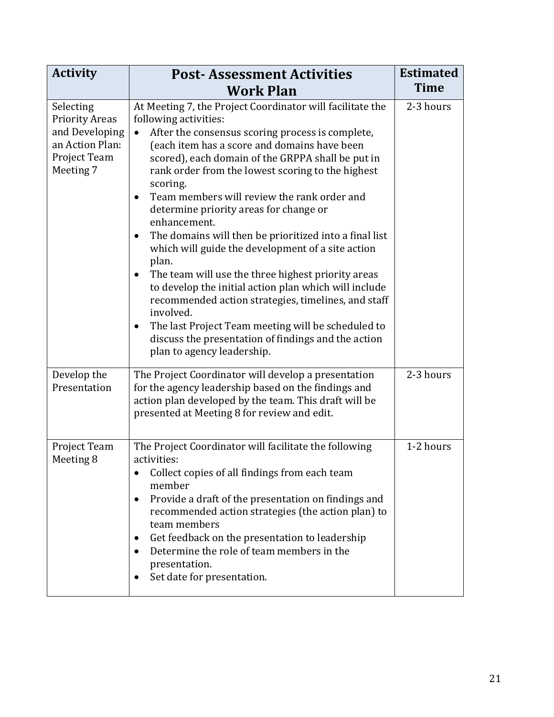| <b>Activity</b>                                                                                      | <b>Post-Assessment Activities</b>                                                                                                                                                                                                                                                                                                                                                                                                                                                                                                                                                                                                                                                                                                                                                                                                                                                                                               | <b>Estimated</b> |
|------------------------------------------------------------------------------------------------------|---------------------------------------------------------------------------------------------------------------------------------------------------------------------------------------------------------------------------------------------------------------------------------------------------------------------------------------------------------------------------------------------------------------------------------------------------------------------------------------------------------------------------------------------------------------------------------------------------------------------------------------------------------------------------------------------------------------------------------------------------------------------------------------------------------------------------------------------------------------------------------------------------------------------------------|------------------|
|                                                                                                      | <b>Work Plan</b>                                                                                                                                                                                                                                                                                                                                                                                                                                                                                                                                                                                                                                                                                                                                                                                                                                                                                                                | <b>Time</b>      |
| Selecting<br><b>Priority Areas</b><br>and Developing<br>an Action Plan:<br>Project Team<br>Meeting 7 | At Meeting 7, the Project Coordinator will facilitate the<br>following activities:<br>After the consensus scoring process is complete,<br>$\bullet$<br>(each item has a score and domains have been<br>scored), each domain of the GRPPA shall be put in<br>rank order from the lowest scoring to the highest<br>scoring.<br>Team members will review the rank order and<br>$\bullet$<br>determine priority areas for change or<br>enhancement.<br>The domains will then be prioritized into a final list<br>$\bullet$<br>which will guide the development of a site action<br>plan.<br>The team will use the three highest priority areas<br>to develop the initial action plan which will include<br>recommended action strategies, timelines, and staff<br>involved.<br>The last Project Team meeting will be scheduled to<br>$\bullet$<br>discuss the presentation of findings and the action<br>plan to agency leadership. | 2-3 hours        |
| Develop the<br>Presentation                                                                          | The Project Coordinator will develop a presentation<br>for the agency leadership based on the findings and<br>action plan developed by the team. This draft will be<br>presented at Meeting 8 for review and edit.                                                                                                                                                                                                                                                                                                                                                                                                                                                                                                                                                                                                                                                                                                              | 2-3 hours        |
| Project Team<br>Meeting 8                                                                            | The Project Coordinator will facilitate the following<br>activities:<br>Collect copies of all findings from each team<br>member<br>Provide a draft of the presentation on findings and<br>recommended action strategies (the action plan) to<br>team members<br>Get feedback on the presentation to leadership<br>$\bullet$<br>Determine the role of team members in the<br>$\bullet$<br>presentation.<br>Set date for presentation.                                                                                                                                                                                                                                                                                                                                                                                                                                                                                            | 1-2 hours        |